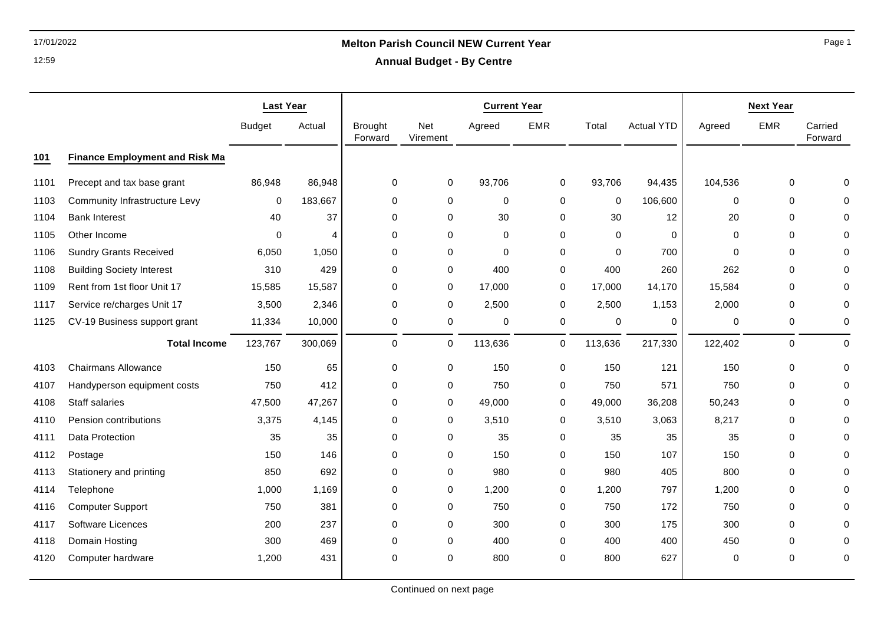### 17/01/2022 **Melton Parish Council NEW Current Year Annual Budget - By Centre**

|      |                                       | <b>Last Year</b> |         |                           | <b>Next Year</b>       |         |             |             |                   |             |             |                    |
|------|---------------------------------------|------------------|---------|---------------------------|------------------------|---------|-------------|-------------|-------------------|-------------|-------------|--------------------|
|      |                                       | <b>Budget</b>    | Actual  | <b>Brought</b><br>Forward | <b>Net</b><br>Virement | Agreed  | <b>EMR</b>  | Total       | <b>Actual YTD</b> | Agreed      | <b>EMR</b>  | Carried<br>Forward |
| 101  | <b>Finance Employment and Risk Ma</b> |                  |         |                           |                        |         |             |             |                   |             |             |                    |
| 1101 | Precept and tax base grant            | 86,948           | 86,948  | 0                         | 0                      | 93,706  | 0           | 93,706      | 94,435            | 104,536     | $\mathbf 0$ |                    |
| 1103 | <b>Community Infrastructure Levy</b>  | 0                | 183,667 | $\pmb{0}$                 | 0                      | 0       | 0           | $\mathbf 0$ | 106,600           | $\mathbf 0$ | 0           |                    |
| 1104 | <b>Bank Interest</b>                  | 40               | 37      | $\mathbf 0$               | 0                      | 30      | 0           | 30          | 12                | 20          | $\mathbf 0$ |                    |
| 1105 | Other Income                          | 0                | 4       | 0                         | 0                      | 0       | $\mathbf 0$ | 0           | 0                 | 0           | 0           |                    |
| 1106 | <b>Sundry Grants Received</b>         | 6,050            | 1,050   | 0                         | $\mathbf 0$            | 0       | $\mathbf 0$ | $\Omega$    | 700               | $\mathbf 0$ | 0           |                    |
| 1108 | <b>Building Society Interest</b>      | 310              | 429     | 0                         | 0                      | 400     | $\mathbf 0$ | 400         | 260               | 262         | $\mathbf 0$ |                    |
| 1109 | Rent from 1st floor Unit 17           | 15,585           | 15,587  | $\mathbf 0$               | 0                      | 17,000  | 0           | 17,000      | 14,170            | 15,584      | $\mathbf 0$ |                    |
| 1117 | Service re/charges Unit 17            | 3,500            | 2,346   | $\mathbf 0$               | 0                      | 2,500   | $\mathbf 0$ | 2,500       | 1,153             | 2,000       | $\mathbf 0$ |                    |
| 1125 | CV-19 Business support grant          | 11,334           | 10,000  | 0                         | 0                      | 0       | 0           | 0           | 0                 | 0           | 0           | 0                  |
|      | <b>Total Income</b>                   | 123,767          | 300,069 | 0                         | 0                      | 113,636 | $\mathbf 0$ | 113,636     | 217,330           | 122,402     | $\pmb{0}$   | $\Omega$           |
| 4103 | <b>Chairmans Allowance</b>            | 150              | 65      | $\pmb{0}$                 | 0                      | 150     | $\mathbf 0$ | 150         | 121               | 150         | 0           |                    |
| 4107 | Handyperson equipment costs           | 750              | 412     | 0                         | 0                      | 750     | 0           | 750         | 571               | 750         | $\mathbf 0$ |                    |
| 4108 | <b>Staff salaries</b>                 | 47,500           | 47,267  | 0                         | 0                      | 49,000  | 0           | 49,000      | 36,208            | 50,243      | $\mathbf 0$ |                    |
| 4110 | Pension contributions                 | 3,375            | 4,145   | $\pmb{0}$                 | 0                      | 3,510   | 0           | 3,510       | 3,063             | 8,217       | $\mathbf 0$ |                    |
| 4111 | <b>Data Protection</b>                | 35               | 35      | $\mathbf 0$               | $\mathbf 0$            | 35      | $\mathbf 0$ | 35          | 35                | 35          | 0           |                    |
| 4112 | Postage                               | 150              | 146     | 0                         | $\mathbf 0$            | 150     | $\mathbf 0$ | 150         | 107               | 150         | $\mathbf 0$ |                    |
| 4113 | Stationery and printing               | 850              | 692     | 0                         | 0                      | 980     | 0           | 980         | 405               | 800         | 0           |                    |
| 4114 | Telephone                             | 1,000            | 1,169   | $\mathbf 0$               | 0                      | 1,200   | 0           | 1,200       | 797               | 1,200       | $\mathbf 0$ |                    |
| 4116 | <b>Computer Support</b>               | 750              | 381     | $\mathbf 0$               | 0                      | 750     | 0           | 750         | 172               | 750         | $\mathbf 0$ |                    |
| 4117 | Software Licences                     | 200              | 237     | 0                         | $\mathbf 0$            | 300     | 0           | 300         | 175               | 300         | 0           |                    |
| 4118 | Domain Hosting                        | 300              | 469     | $\Omega$                  | $\mathbf 0$            | 400     | $\Omega$    | 400         | 400               | 450         | $\Omega$    |                    |
| 4120 | Computer hardware                     | 1,200            | 431     | $\Omega$                  | $\mathbf 0$            | 800     | $\mathbf 0$ | 800         | 627               | $\mathbf 0$ | 0           | 0                  |

Page 1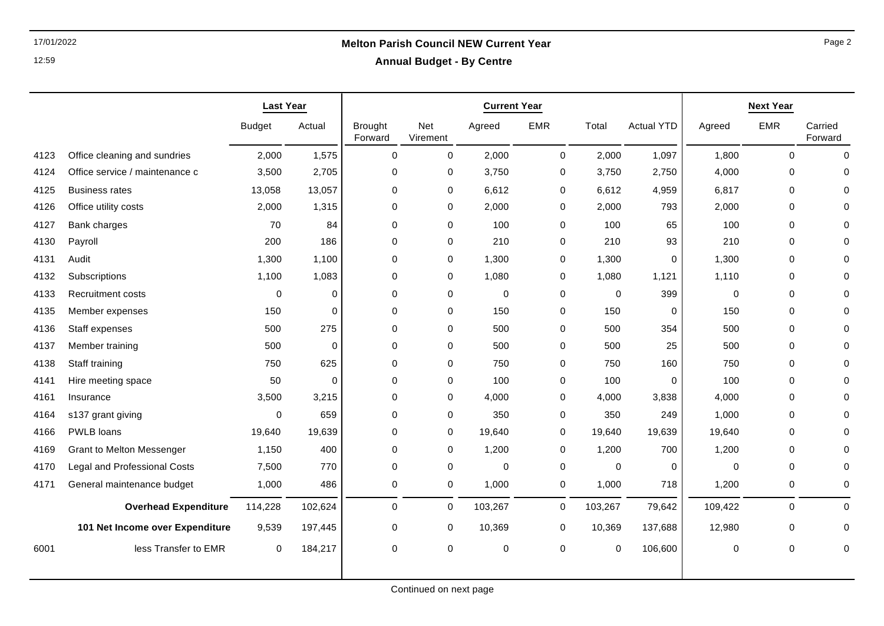# 17/01/2022 **Melton Parish Council NEW Current Year**

|  |  | <b>Annual Budget - By Centre</b> |
|--|--|----------------------------------|
|--|--|----------------------------------|

|      |                                     | <b>Last Year</b> |              |                           |                 |             | <b>Current Year</b> |             |                   |             | <b>Next Year</b> |                    |  |
|------|-------------------------------------|------------------|--------------|---------------------------|-----------------|-------------|---------------------|-------------|-------------------|-------------|------------------|--------------------|--|
|      |                                     | <b>Budget</b>    | Actual       | <b>Brought</b><br>Forward | Net<br>Virement | Agreed      | <b>EMR</b>          | Total       | <b>Actual YTD</b> | Agreed      | <b>EMR</b>       | Carried<br>Forward |  |
| 4123 | Office cleaning and sundries        | 2,000            | 1,575        | $\Omega$                  | $\mathbf 0$     | 2,000       | $\mathbf 0$         | 2,000       | 1,097             | 1,800       | $\Omega$         | $\Omega$           |  |
| 4124 | Office service / maintenance c      | 3,500            | 2,705        | 0                         | 0               | 3,750       | 0                   | 3,750       | 2,750             | 4,000       | 0                | $\Omega$           |  |
| 4125 | <b>Business rates</b>               | 13,058           | 13,057       | $\mathbf 0$               | $\mathbf 0$     | 6,612       | 0                   | 6,612       | 4,959             | 6,817       | $\mathbf 0$      | $\mathbf 0$        |  |
| 4126 | Office utility costs                | 2,000            | 1,315        | $\Omega$                  | $\mathbf 0$     | 2,000       | 0                   | 2,000       | 793               | 2,000       | $\Omega$         | $\mathbf 0$        |  |
| 4127 | Bank charges                        | 70               | 84           | $\mathbf 0$               | 0               | 100         | 0                   | 100         | 65                | 100         | 0                | $\Omega$           |  |
| 4130 | Payroll                             | 200              | 186          | $\Omega$                  | $\mathbf 0$     | 210         | 0                   | 210         | 93                | 210         | $\Omega$         | $\Omega$           |  |
| 4131 | Audit                               | 1,300            | 1,100        | 0                         | 0               | 1,300       | 0                   | 1,300       | 0                 | 1,300       | 0                | $\mathbf 0$        |  |
| 4132 | Subscriptions                       | 1,100            | 1,083        | 0                         | 0               | 1,080       | 0                   | 1,080       | 1,121             | 1,110       | $\mathbf 0$      | $\mathbf 0$        |  |
| 4133 | <b>Recruitment costs</b>            | 0                | 0            | $\mathbf 0$               | $\mathbf 0$     | $\mathbf 0$ | 0                   | 0           | 399               | $\mathbf 0$ | 0                | 0                  |  |
| 4135 | Member expenses                     | 150              | $\mathbf{0}$ | $\Omega$                  | 0               | 150         | 0                   | 150         | $\mathbf 0$       | 150         | $\Omega$         | $\mathbf 0$        |  |
| 4136 | Staff expenses                      | 500              | 275          | $\mathbf 0$               | 0               | 500         | 0                   | 500         | 354               | 500         | $\mathbf 0$      | $\mathbf 0$        |  |
| 4137 | Member training                     | 500              | 0            | $\mathbf 0$               | $\mathbf 0$     | 500         | 0                   | 500         | 25                | 500         | 0                | $\mathbf 0$        |  |
| 4138 | Staff training                      | 750              | 625          | 0                         | 0               | 750         | 0                   | 750         | 160               | 750         | $\Omega$         | 0                  |  |
| 4141 | Hire meeting space                  | 50               | $\mathbf 0$  | $\mathbf 0$               | 0               | 100         | 0                   | 100         | $\Omega$          | 100         | $\Omega$         | $\Omega$           |  |
| 4161 | Insurance                           | 3,500            | 3,215        | $\mathbf 0$               | 0               | 4,000       | 0                   | 4,000       | 3,838             | 4,000       | 0                | $\mathbf 0$        |  |
| 4164 | s137 grant giving                   | 0                | 659          | 0                         | 0               | 350         | 0                   | 350         | 249               | 1,000       | 0                | $\mathbf 0$        |  |
| 4166 | PWLB loans                          | 19,640           | 19,639       | $\mathbf 0$               | 0               | 19,640      | 0                   | 19,640      | 19,639            | 19,640      | 0                | 0                  |  |
| 4169 | <b>Grant to Melton Messenger</b>    | 1,150            | 400          | $\mathbf 0$               | $\mathbf 0$     | 1,200       | 0                   | 1,200       | 700               | 1,200       | $\Omega$         | $\Omega$           |  |
| 4170 | <b>Legal and Professional Costs</b> | 7,500            | 770          | $\mathbf 0$               | 0               | 0           | 0                   | $\mathbf 0$ | $\mathbf 0$       | $\mathbf 0$ | $\mathbf 0$      | $\mathbf 0$        |  |
| 4171 | General maintenance budget          | 1,000            | 486          | $\mathbf 0$               | $\mathbf 0$     | 1,000       | $\mathbf 0$         | 1,000       | 718               | 1,200       | $\mathbf 0$      | $\mathbf 0$        |  |
|      | <b>Overhead Expenditure</b>         | 114,228          | 102,624      | $\Omega$                  | 0               | 103,267     | $\mathbf 0$         | 103,267     | 79,642            | 109,422     | $\Omega$         | $\Omega$           |  |
|      | 101 Net Income over Expenditure     | 9,539            | 197,445      | 0                         | $\mathbf 0$     | 10,369      | $\mathbf 0$         | 10,369      | 137,688           | 12,980      | 0                | $\mathbf 0$        |  |
| 6001 | less Transfer to EMR                | 0                | 184,217      | 0                         | 0               | 0           | 0                   | 0           | 106,600           | 0           | 0                | 0                  |  |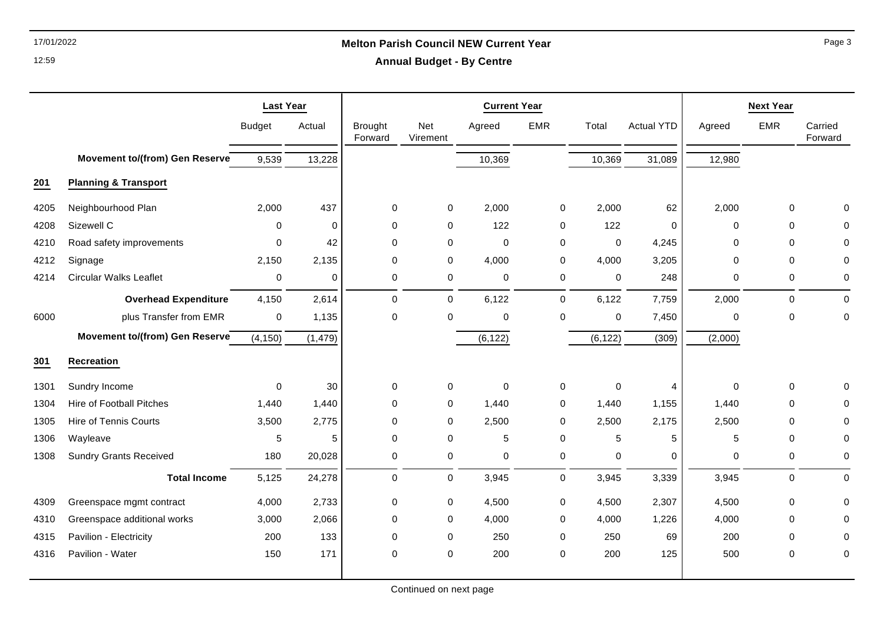### 17/01/2022 **Melton Parish Council NEW Current Year**

**Annual Budget - By Centre**

|      |                                       | <b>Last Year</b> |             |                           |                 | <b>Current Year</b> | <b>Next Year</b> |             |                   |             |             |                    |
|------|---------------------------------------|------------------|-------------|---------------------------|-----------------|---------------------|------------------|-------------|-------------------|-------------|-------------|--------------------|
|      |                                       | <b>Budget</b>    | Actual      | <b>Brought</b><br>Forward | Net<br>Virement | Agreed              | <b>EMR</b>       | Total       | <b>Actual YTD</b> | Agreed      | <b>EMR</b>  | Carried<br>Forward |
|      | <b>Movement to/(from) Gen Reserve</b> | 9,539            | 13,228      |                           |                 | 10,369              |                  | 10,369      | 31,089            | 12,980      |             |                    |
| 201  | <b>Planning &amp; Transport</b>       |                  |             |                           |                 |                     |                  |             |                   |             |             |                    |
| 4205 | Neighbourhood Plan                    | 2,000            | 437         | $\mathbf 0$               | $\mathbf 0$     | 2,000               | 0                | 2,000       | 62                | 2,000       | $\mathbf 0$ | $\Omega$           |
| 4208 | Sizewell C                            | 0                | $\mathbf 0$ | $\mathbf 0$               | 0               | 122                 | 0                | 122         | $\mathbf 0$       | 0           | 0           | $\mathbf 0$        |
| 4210 | Road safety improvements              | 0                | 42          | 0                         | $\mathbf 0$     | $\mathbf 0$         | 0                | $\mathbf 0$ | 4,245             | $\Omega$    | $\Omega$    | 0                  |
| 4212 | Signage                               | 2,150            | 2,135       | $\mathbf 0$               | $\mathbf 0$     | 4,000               | 0                | 4,000       | 3,205             | $\mathbf 0$ | $\Omega$    | $\mathbf 0$        |
| 4214 | <b>Circular Walks Leaflet</b>         | 0                | 0           | 0                         | 0               | 0                   | 0                | $\mathbf 0$ | 248               | 0           | 0           | 0                  |
|      | <b>Overhead Expenditure</b>           | 4,150            | 2,614       | $\mathbf 0$               | $\mathbf 0$     | 6,122               | $\mathsf{O}$     | 6,122       | 7,759             | 2,000       | $\mathbf 0$ | $\mathbf 0$        |
| 6000 | plus Transfer from EMR                | $\pmb{0}$        | 1,135       | $\mathbf 0$               | 0               | 0                   | 0                | $\mathbf 0$ | 7,450             | $\mathbf 0$ | $\mathbf 0$ | $\mathbf 0$        |
|      | Movement to/(from) Gen Reserve        | (4, 150)         | (1, 479)    |                           |                 | (6, 122)            |                  | (6, 122)    | (309)             | (2,000)     |             |                    |
| 301  | <b>Recreation</b>                     |                  |             |                           |                 |                     |                  |             |                   |             |             |                    |
| 1301 | Sundry Income                         | $\mathbf 0$      | 30          | $\mathbf 0$               | 0               | $\mathbf 0$         | 0                | $\pmb{0}$   | $\overline{4}$    | $\Omega$    | $\mathbf 0$ | $\mathbf 0$        |
| 1304 | <b>Hire of Football Pitches</b>       | 1,440            | 1,440       | $\Omega$                  | $\mathbf 0$     | 1,440               | 0                | 1,440       | 1,155             | 1,440       | $\Omega$    | 0                  |
| 1305 | Hire of Tennis Courts                 | 3,500            | 2,775       | $\mathbf 0$               | 0               | 2,500               | $\mathbf 0$      | 2,500       | 2,175             | 2,500       | 0           | $\mathbf 0$        |
| 1306 | Wayleave                              | 5                | 5           | $\mathbf 0$               | $\pmb{0}$       | 5                   | $\pmb{0}$        | $\sqrt{5}$  | 5                 | $\mathbf 5$ | $\mathbf 0$ | 0                  |
| 1308 | <b>Sundry Grants Received</b>         | 180              | 20,028      | $\mathbf 0$               | $\mathbf 0$     | 0                   | $\pmb{0}$        | $\pmb{0}$   | $\mathbf 0$       | 0           | 0           | $\pmb{0}$          |
|      | <b>Total Income</b>                   | 5,125            | 24,278      | $\mathbf 0$               | $\mathbf 0$     | 3,945               | 0                | 3,945       | 3,339             | 3,945       | $\mathbf 0$ | $\mathbf 0$        |
| 4309 | Greenspace mgmt contract              | 4,000            | 2,733       | $\pmb{0}$                 | 0               | 4,500               | 0                | 4,500       | 2,307             | 4,500       | 0           | $\pmb{0}$          |
| 4310 | Greenspace additional works           | 3,000            | 2,066       | $\mathbf 0$               | $\mathbf 0$     | 4,000               | 0                | 4,000       | 1,226             | 4,000       | $\mathbf 0$ | $\mathbf 0$        |
| 4315 | Pavilion - Electricity                | 200              | 133         | $\mathbf 0$               | 0               | 250                 | 0                | 250         | 69                | 200         | 0           | 0                  |
| 4316 | Pavilion - Water                      | 150              | 171         | 0                         | 0               | 200                 | 0                | 200         | 125               | 500         | 0           | 0                  |

Page 3

12:59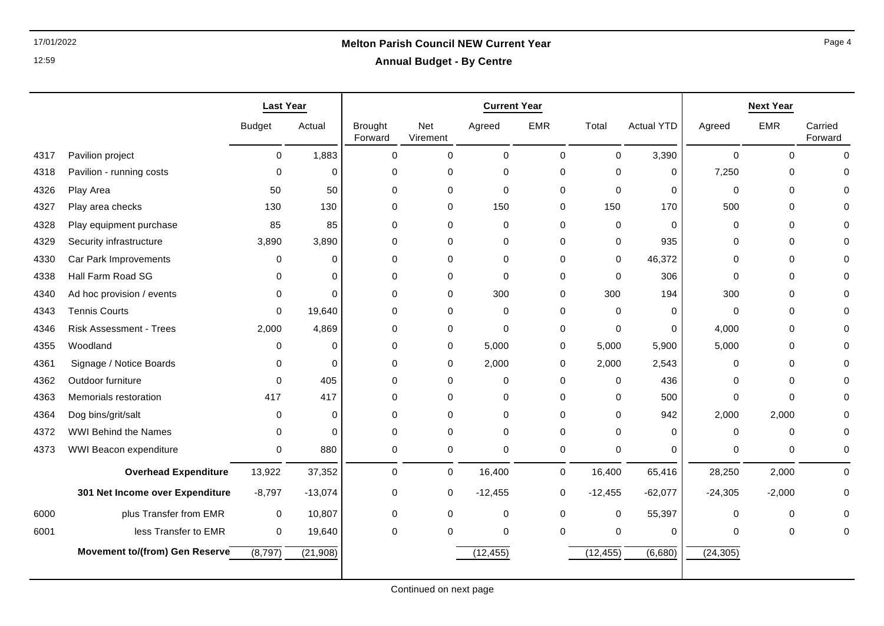## 17/01/2022 **Melton Parish Council NEW Current Year**

**Annual Budget - By Centre**

|      |                                 | <b>Last Year</b> |           | <b>Current Year</b>       |                 |             |             | <b>Next Year</b> |                   |             |             |                    |
|------|---------------------------------|------------------|-----------|---------------------------|-----------------|-------------|-------------|------------------|-------------------|-------------|-------------|--------------------|
|      |                                 | <b>Budget</b>    | Actual    | <b>Brought</b><br>Forward | Net<br>Virement | Agreed      | <b>EMR</b>  | Total            | <b>Actual YTD</b> | Agreed      | <b>EMR</b>  | Carried<br>Forward |
| 4317 | Pavilion project                | $\mathbf 0$      | 1,883     | $\Omega$                  | $\mathbf 0$     | $\Omega$    | $\Omega$    | $\Omega$         | 3,390             | $\Omega$    | $\Omega$    | $\Omega$           |
| 4318 | Pavilion - running costs        | $\mathbf 0$      | $\Omega$  | $\mathbf 0$               | $\mathbf 0$     | $\mathbf 0$ | 0           | 0                | 0                 | 7,250       | 0           | $\Omega$           |
| 4326 | Play Area                       | 50               | 50        | $\mathbf 0$               | $\mathbf 0$     | $\mathbf 0$ | $\Omega$    | $\mathbf 0$      | 0                 | $\mathbf 0$ | $\Omega$    | $\Omega$           |
| 4327 | Play area checks                | 130              | 130       | 0                         | $\mathbf 0$     | 150         | $\Omega$    | 150              | 170               | 500         | $\Omega$    | 0                  |
| 4328 | Play equipment purchase         | 85               | 85        | $\Omega$                  | $\mathbf 0$     | 0           | $\Omega$    | $\mathbf 0$      | $\mathbf 0$       | 0           | $\Omega$    | 0                  |
| 4329 | Security infrastructure         | 3,890            | 3,890     | 0                         | $\mathbf 0$     | 0           | $\Omega$    | $\mathbf 0$      | 935               | 0           | $\Omega$    | 0                  |
| 4330 | Car Park Improvements           | $\mathbf 0$      | ∩         | $\mathbf 0$               | $\mathbf 0$     | 0           | $\Omega$    | $\mathbf 0$      | 46,372            | $\Omega$    | $\Omega$    | $\Omega$           |
| 4338 | Hall Farm Road SG               | $\Omega$         | $\Omega$  | 0                         | 0               | 0           | $\Omega$    | $\mathbf 0$      | 306               | $\Omega$    | $\Omega$    | 0                  |
| 4340 | Ad hoc provision / events       | 0                | $\Omega$  | 0                         | $\mathbf 0$     | 300         | 0           | 300              | 194               | 300         | 0           | 0                  |
| 4343 | <b>Tennis Courts</b>            | $\Omega$         | 19,640    | $\Omega$                  | $\mathbf 0$     | 0           | $\Omega$    | $\Omega$         | $\mathbf 0$       | 0           | $\Omega$    | $\Omega$           |
| 4346 | <b>Risk Assessment - Trees</b>  | 2,000            | 4,869     | 0                         | 0               | 0           | 0           | 0                | 0                 | 4,000       | $\Omega$    | 0                  |
| 4355 | Woodland                        | 0                | $\Omega$  | 0                         | $\mathbf 0$     | 5,000       | 0           | 5,000            | 5,900             | 5,000       | $\Omega$    | 0                  |
| 4361 | Signage / Notice Boards         | $\mathbf 0$      | $\Omega$  | $\mathbf 0$               | 0               | 2,000       | 0           | 2,000            | 2,543             | 0           | $\Omega$    | $\Omega$           |
| 4362 | Outdoor furniture               | $\Omega$         | 405       | $\mathbf 0$               | $\mathbf 0$     | $\mathbf 0$ | $\Omega$    | $\mathbf 0$      | 436               | 0           | $\Omega$    | $\Omega$           |
| 4363 | Memorials restoration           | 417              | 417       | $\Omega$                  | 0               | 0           | $\Omega$    | $\Omega$         | 500               | 0           | $\Omega$    | 0                  |
| 4364 | Dog bins/grit/salt              | $\Omega$         | $\Omega$  | $\Omega$                  | $\Omega$        | $\Omega$    | $\Omega$    | $\Omega$         | 942               | 2,000       | 2,000       | $\Omega$           |
| 4372 | <b>WWI Behind the Names</b>     | $\mathbf 0$      | $\Omega$  | $\mathbf 0$               | $\mathbf 0$     | $\mathbf 0$ | $\Omega$    | $\Omega$         | $\mathbf 0$       | $\mathbf 0$ | $\mathbf 0$ | $\Omega$           |
| 4373 | WWI Beacon expenditure          | 0                | 880       | 0                         | 0               | 0           | 0           | 0                | 0                 | 0           | 0           | 0                  |
|      | <b>Overhead Expenditure</b>     | 13,922           | 37,352    | $\mathbf 0$               | $\mathbf 0$     | 16,400      | $\mathbf 0$ | 16,400           | 65,416            | 28,250      | 2,000       | $\mathbf 0$        |
|      | 301 Net Income over Expenditure | $-8,797$         | $-13,074$ | 0                         | 0               | $-12,455$   | 0           | $-12,455$        | $-62,077$         | $-24,305$   | $-2,000$    | 0                  |
| 6000 | plus Transfer from EMR          | $\mathbf 0$      | 10,807    | $\pmb{0}$                 | $\mathbf 0$     | 0           | 0           | $\mathbf 0$      | 55,397            | 0           | $\mathbf 0$ | 0                  |
| 6001 | less Transfer to EMR            | $\mathbf 0$      | 19,640    | $\Omega$                  | $\Omega$        | $\mathbf 0$ | $\Omega$    | $\mathbf 0$      | 0                 | 0           | $\Omega$    | $\Omega$           |
|      | Movement to/(from) Gen Reserve  | (8,797)          | (21, 908) |                           |                 | (12, 455)   |             | (12, 455)        | (6,680)           | (24, 305)   |             |                    |
|      |                                 |                  |           |                           |                 |             |             |                  |                   |             |             |                    |